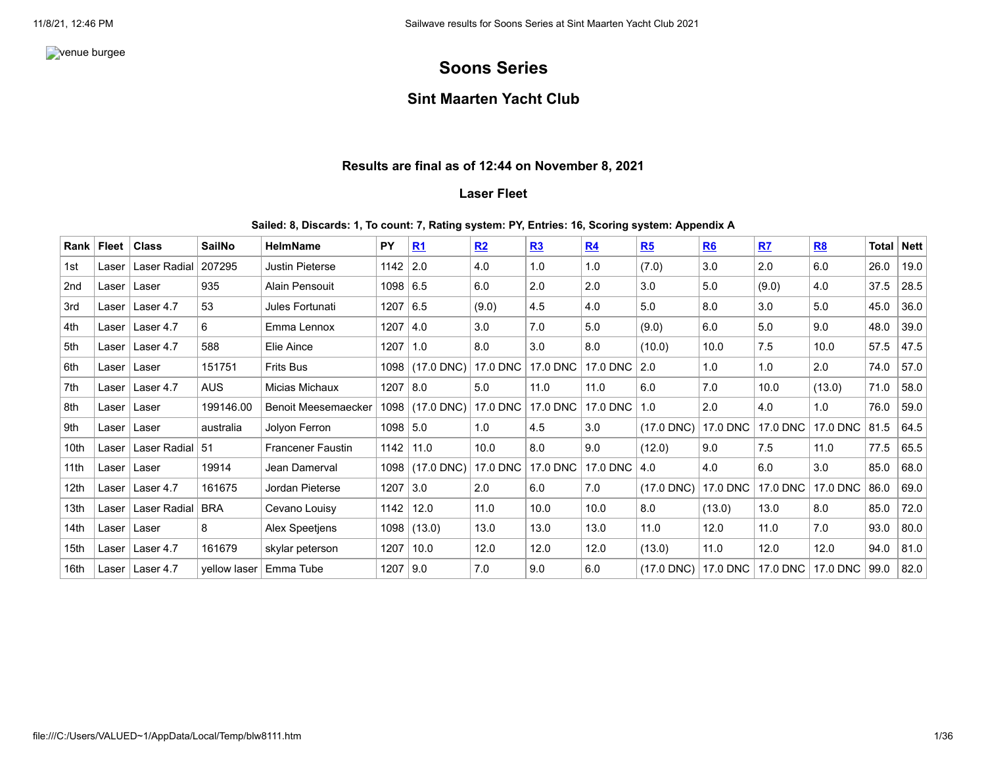**venue burgee** 

# **Soons Series**

## **Sint Maarten Yacht Club**

### **Results are final as of 12:44 on November 8, 2021**

### **Laser Fleet**

#### **Sailed: 8, Discards: 1, To count: 7, Rating system: PY, Entries: 16, Scoring system: Appendix A**

| Rank             | Fleet | <b>Class</b>        | <b>SailNo</b> | <b>HelmName</b>            | PY         | R <sub>1</sub>  | R2                       | R3       | R <sub>4</sub> | R5           | <b>R6</b> | R <sub>7</sub> | <b>R8</b> | Total | <b>Nett</b> |
|------------------|-------|---------------------|---------------|----------------------------|------------|-----------------|--------------------------|----------|----------------|--------------|-----------|----------------|-----------|-------|-------------|
| 1st              | Laser | <b>Laser Radial</b> | 207295        | Justin Pieterse            | 1142       | 2.0             | 4.0                      | 1.0      | 1.0            | (7.0)        | 3.0       | 2.0            | 6.0       | 26.0  | 19.0        |
| 2nd              | Laser | Laser               | 935           | Alain Pensouit             | 1098       | 6.5             | 6.0                      | 2.0      | 2.0            | 3.0          | 5.0       | (9.0)          | 4.0       | 37.5  | 28.5        |
| 3rd              | Laser | Laser 4.7           | 53            | Jules Fortunati            | 1207       | 6.5             | (9.0)                    | 4.5      | 4.0            | 5.0          | 8.0       | 3.0            | 5.0       | 45.0  | 36.0        |
| 4th              | Laser | Laser 4.7           | 6             | Emma Lennox                | 1207       | 4.0             | 3.0                      | 7.0      | 5.0            | (9.0)        | 6.0       | 5.0            | 9.0       | 48.0  | 39.0        |
| 5th              | Laser | Laser 4.7           | 588           | Elie Aince                 | 1207       | 1.0             | 8.0                      | 3.0      | 8.0            | (10.0)       | 10.0      | 7.5            | 10.0      | 57.5  | 47.5        |
| 6th              | Laser | Laser               | 151751        | Frits Bus                  | 1098       | $(17.0$ DNC)    | 17.0 DNC                 | 17.0 DNC | 17.0 DNC       | 2.0          | 1.0       | 1.0            | 2.0       | 74.0  | 57.0        |
| 7th              | Laser | Laser 4.7           | <b>AUS</b>    | Micias Michaux             | 1207       | 8.0             | 5.0                      | 11.0     | 11.0           | 6.0          | 7.0       | 10.0           | (13.0)    | 71.0  | 58.0        |
| 8th              | Laser | Laser               | 199146.00     | <b>Benoit Meesemaecker</b> |            | 1098 (17.0 DNC) | $\vert$ 17.0 DNC $\vert$ | 17.0 DNC | 17.0 DNC       | 1.0          | 2.0       | 4.0            | 1.0       | 76.0  | 59.0        |
| 9th              | Laser | Laser               | australia     | Jolyon Ferron              | 1098   5.0 |                 | 1.0                      | 4.5      | 3.0            | $(17.0$ DNC) | 17.0 DNC  | 17.0 DNC       | 17.0 DNC  | 81.5  | 64.5        |
| 10th             | Laser | Laser Radial        | 51            | <b>Francener Faustin</b>   | 1142       | 11.0            | 10.0                     | 8.0      | 9.0            | (12.0)       | 9.0       | 7.5            | 11.0      | 77.5  | 65.5        |
| 11th             | Laser | Laser               | 19914         | Jean Damerval              | 1098       | $(17.0$ DNC)    | 17.0 DNC                 | 17.0 DNC | 17.0 DNC   4.0 |              | 4.0       | 6.0            | 3.0       | 85.0  | 68.0        |
| 12th             | Laser | Laser 4.7           | 161675        | Jordan Pieterse            | 1207       | 3.0             | 2.0                      | 6.0      | 7.0            | $(17.0$ DNC) | 17.0 DNC  | 17.0 DNC       | 17.0 DNC  | 86.0  | 69.0        |
| 13 <sub>th</sub> | Laser | Laser Radial        | <b>BRA</b>    | Cevano Louisy              | 1142       | 12.0            | 11.0                     | 10.0     | 10.0           | 8.0          | (13.0)    | 13.0           | 8.0       | 85.0  | 72.0        |
| 14th             | Laser | Laser               | 8             | Alex Speetjens             | 1098       | (13.0)          | 13.0                     | 13.0     | 13.0           | 11.0         | 12.0      | 11.0           | 7.0       | 93.0  | 80.0        |
| 15th             | Laser | Laser 4.7           | 161679        | skylar peterson            | 1207       | 10.0            | 12.0                     | 12.0     | 12.0           | (13.0)       | 11.0      | 12.0           | 12.0      | 94.0  | 81.0        |
| 16th             | Laser | Laser 4.7           | vellow laser  | Emma Tube                  | 1207       | 9.0             | 7.0                      | 9.0      | 6.0            | $(17.0$ DNC) | 17.0 DNC  | 17.0 DNC       | 17.0 DNC  | 99.0  | 82.0        |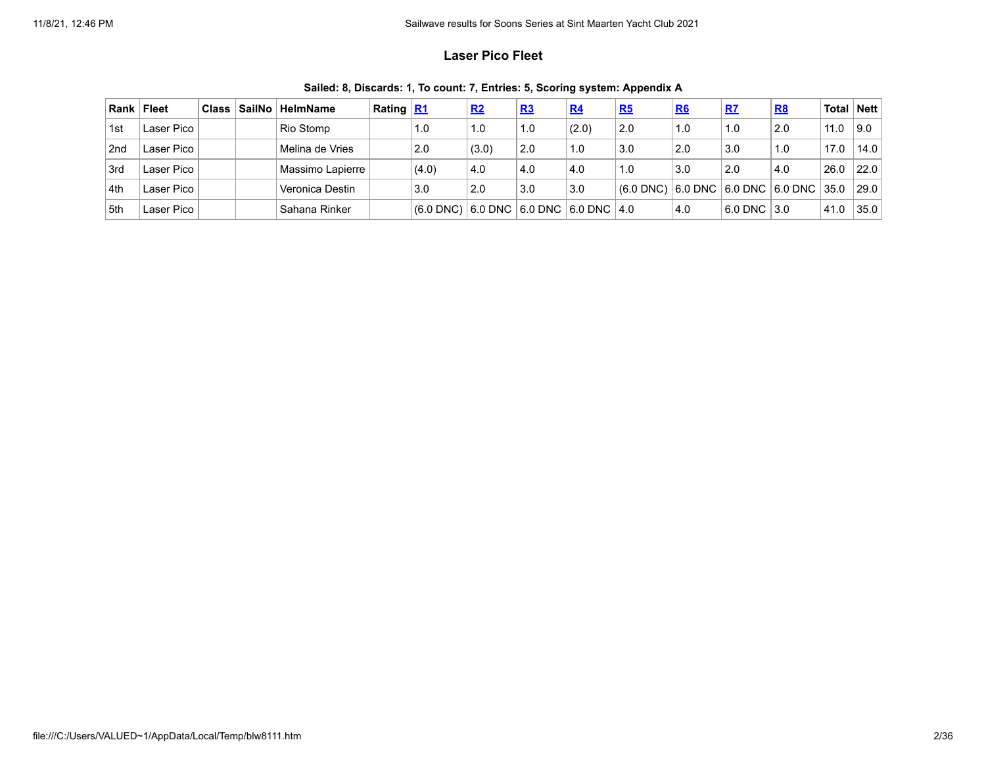### **Laser Pico Fleet**

| Rank            | ∣ Fleet    | <b>Class</b> | <b>SailNo</b> | <b>HelmName</b>  | Rating $R1$ |             | R <sub>2</sub>                          | R <sub>3</sub> | R <sub>4</sub> | R5          | R6  | R7          | <u>R8</u>                                | Total   Nett |      |
|-----------------|------------|--------------|---------------|------------------|-------------|-------------|-----------------------------------------|----------------|----------------|-------------|-----|-------------|------------------------------------------|--------------|------|
| 1st             | Laser Pico |              |               | Rio Stomp        |             | 1.0         | 1.0                                     | 1.0            | (2.0)          | 2.0         | 1.0 | 1.0         | 2.0                                      | 11.0         | 9.0  |
| 2 <sub>nd</sub> | Laser Pico |              |               | Melina de Vries  |             | 2.0         | (3.0)                                   | 2.0            | 1.0            | 3.0         | 2.0 | 3.0         | 1.0                                      | 17.0         | 14.0 |
| 3rd             | Laser Pico |              |               | Massimo Lapierre |             | (4.0)       | 4.0                                     | 4.0            | .4.0           | 1.0         | 3.0 | 2.0         | 4.0                                      | 26.0         | 22.0 |
| 4th             | Laser Pico |              |               | Veronica Destin  |             | 3.0         | 2.0                                     | 3.0            | 3.0            | $(6.0$ DNC) |     |             | $ 6.0$ DNC $ 6.0$ DNC $ 6.0$ DNC $ 35.0$ |              | 29.0 |
| 5th             | Laser Pico |              |               | Sahana Rinker    |             | $(6.0$ DNC) | )   6.0 DNC   6.0 DNC   6.0 DNC   4.0 ∣ |                |                |             | 4.0 | 6.0 DNC 3.0 |                                          | 41.0         | 35.0 |

**Sailed: 8, Discards: 1, To count: 7, Entries: 5, Scoring system: Appendix A**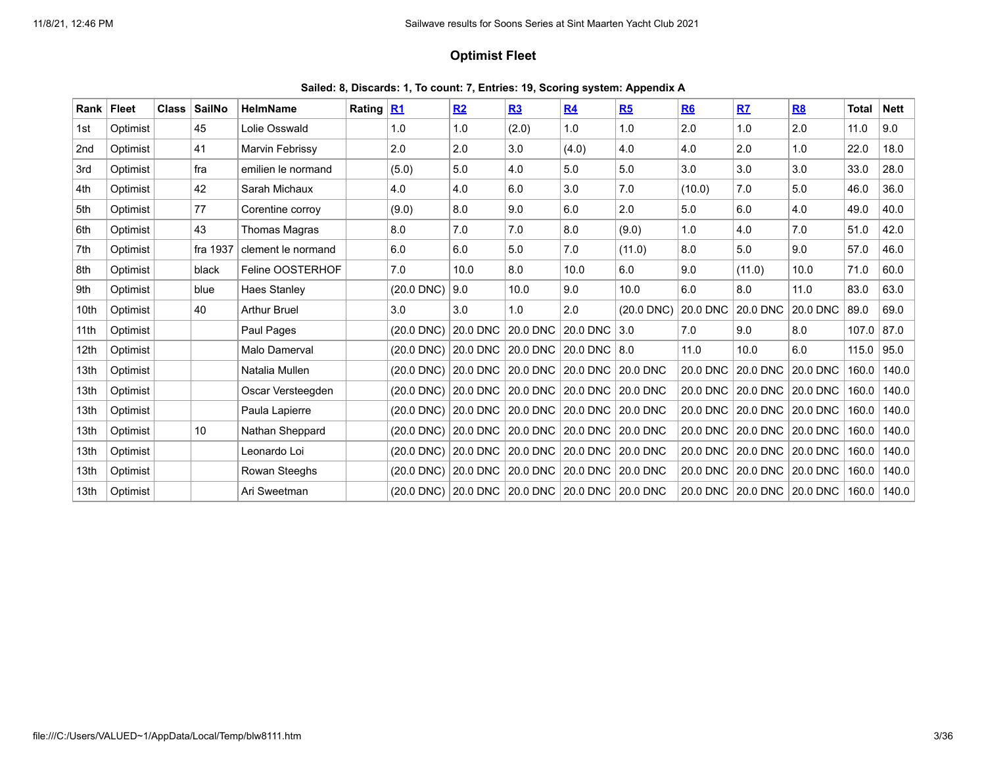### **Optimist Fleet**

| Sailed: 8, Discards: 1, To count: 7, Entries: 19, Scoring system: Appendix A |  |  |  |  |
|------------------------------------------------------------------------------|--|--|--|--|
|------------------------------------------------------------------------------|--|--|--|--|

| Rank            | Fleet    | <b>Class</b> | <b>SailNo</b> | <b>HelmName</b>      | Rating R1 |                 | R <sub>2</sub>             | R3       | R <sub>4</sub> | R5           | R <sub>6</sub> | R7                         | R <sub>8</sub> | Total | <b>Nett</b> |
|-----------------|----------|--------------|---------------|----------------------|-----------|-----------------|----------------------------|----------|----------------|--------------|----------------|----------------------------|----------------|-------|-------------|
| 1st             | Optimist |              | 45            | Lolie Osswald        |           | 1.0             | 1.0                        | (2.0)    | 1.0            | 1.0          | 2.0            | 1.0                        | 2.0            | 11.0  | 9.0         |
| 2 <sub>nd</sub> | Optimist |              | 41            | Marvin Febrissy      |           | 2.0             | 2.0                        | 3.0      | (4.0)          | 4.0          | 4.0            | 2.0                        | 1.0            | 22.0  | 18.0        |
| 3rd             | Optimist |              | fra           | emilien le normand   |           | (5.0)           | 5.0                        | 4.0      | 5.0            | 5.0          | 3.0            | 3.0                        | 3.0            | 33.0  | 28.0        |
| 4th             | Optimist |              | 42            | Sarah Michaux        |           | 4.0             | 4.0                        | 6.0      | 3.0            | 7.0          | (10.0)         | 7.0                        | 5.0            | 46.0  | 36.0        |
| 5th             | Optimist |              | 77            | Corentine corroy     |           | (9.0)           | 8.0                        | 9.0      | 6.0            | 2.0          | 5.0            | 6.0                        | 4.0            | 49.0  | 40.0        |
| 6th             | Optimist |              | 43            | Thomas Magras        |           | 8.0             | 7.0                        | 7.0      | 8.0            | (9.0)        | 1.0            | 4.0                        | 7.0            | 51.0  | 42.0        |
| 7th             | Optimist |              | fra 1937      | clement le normand   |           | 6.0             | 6.0                        | 5.0      | 7.0            | (11.0)       | 8.0            | 5.0                        | 9.0            | 57.0  | 46.0        |
| 8th             | Optimist |              | black         | Feline OOSTERHOF     |           | 7.0             | 10.0                       | 8.0      | 10.0           | 6.0          | 9.0            | (11.0)                     | 10.0           | 71.0  | 60.0        |
| 9th             | Optimist |              | blue          | Haes Stanley         |           | (20.0 DNC)      | 9.0                        | 10.0     | 9.0            | 10.0         | 6.0            | 8.0                        | 11.0           | 83.0  | 63.0        |
| 10th            | Optimist |              | 40            | <b>Arthur Bruel</b>  |           | 3.0             | 3.0                        | 1.0      | 2.0            | $(20.0$ DNC) | 20.0 DNC       | 20.0 DNC                   | 20.0 DNC       | 89.0  | 69.0        |
| 11th            | Optimist |              |               | Paul Pages           |           | (20.0 DNC)      | 20.0 DNC                   | 20.0 DNC | 20.0 DNC       | 3.0          | 7.0            | 9.0                        | 8.0            | 107.0 | 87.0        |
| 12th            | Optimist |              |               | <b>Malo Damerval</b> |           | (20.0 DNC)      | 20.0 DNC                   | 20.0 DNC | 20.0 DNC       | 8.0          | 11.0           | 10.0                       | 6.0            | 115.0 | 95.0        |
| 13th            | Optimist |              |               | Natalia Mullen       |           | (20.0 DNC)      | 20.0 DNC                   | 20.0 DNC | 20.0 DNC       | 20.0 DNC     | 20.0 DNC       | 20.0 DNC                   | 20.0 DNC       | 160.0 | 140.0       |
| 13th            | Optimist |              |               | Oscar Versteegden    |           | $(20.0$ DNC $)$ | 20.0 DNC                   | 20.0 DNC | 20.0 DNC       | 20.0 DNC     | 20.0 DNC       | 20.0 DNC                   | 20.0 DNC       | 160.0 | 140.0       |
| 13th            | Optimist |              |               | Paula Lapierre       |           | (20.0 DNC)      | 20.0 DNC                   | 20.0 DNC | 20.0 DNC       | 20.0 DNC     | 20.0 DNC       | 20.0 DNC                   | 20.0 DNC       | 160.0 | 140.0       |
| 13th            | Optimist |              | 10            | Nathan Sheppard      |           | (20.0 DNC)      | $ 20.0$ DNC $ $            | 20.0 DNC | 20.0 DNC       | 20.0 DNC     | 20.0 DNC       | 20.0 DNC                   | 20.0 DNC       | 160.0 | 140.0       |
| 13th            | Optimist |              |               | Leonardo Loi         |           | (20.0 DNC)      | $20.0$ DNC                 | 20.0 DNC | 20.0 DNC       | 20.0 DNC     | 20.0 DNC       | 20.0 DNC                   | 20.0 DNC       | 160.0 | 140.0       |
| 13th            | Optimist |              |               | Rowan Steeghs        |           | $(20.0$ DNC $)$ | 20.0 DNC                   | 20.0 DNC | 20.0 DNC       | 20.0 DNC     |                | 20.0 DNC 20.0 DNC 20.0 DNC |                | 160.0 | 140.0       |
| 13th            | Optimist |              |               | Ari Sweetman         |           | (20.0 DNC)      | 20.0 DNC 20.0 DNC 20.0 DNC |          |                | 20.0 DNC     |                | 20.0 DNC 20.0 DNC 20.0 DNC |                | 160.0 | 140.0       |